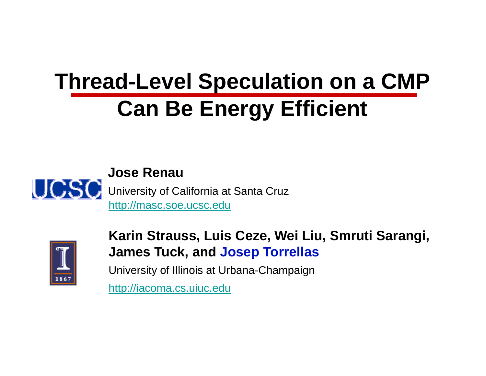# **Thread-Level Speculation on a CMP Can Be Energy Efficient**





Karin Strauss, Luis Ceze, Wei Liu, Smruti Sarangi, **James Tuck, and Jos ep Torrellas**

University of Illinois at Urba na-Champaign

http://iacoma.cs.uiuc.edu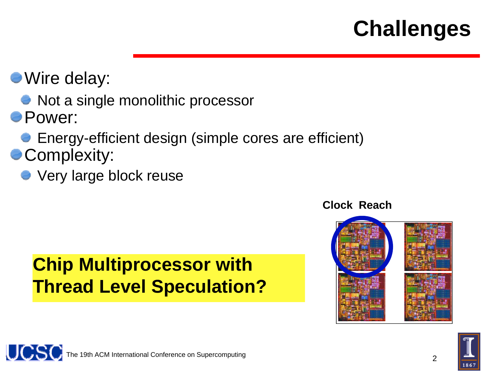### **Challenges**

- Wire delay:
	- Not a single monolithic processor
- Power:
	- Energy-efficient design (simple cores are efficient)
- **Complexity:** 
	- Very large block reuse

### **Chip Multiprocessor with Th d L l S l i Thread Level Speculatio hon?**

**Clock Reach**



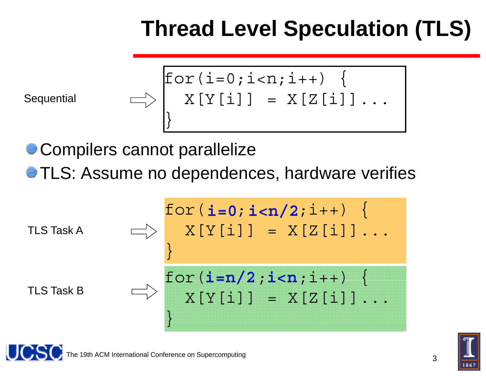### **Thread Le evel Speculation (TLS)**

Sequential

\n
$$
\begin{array}{c}\n\bigg| \text{for}(i=0;i
$$

Compilers cannot parallelize

TLS: Assume no dependences, hardware verifies

$$
\begin{array}{c}\n\text{for}(\mathbf{i}=0;\mathbf{i} < \mathbf{n}/2;\mathbf{i}++) < \\
\hline\n\downarrow & \mathbf{X[Y[i]]} = \mathbf{X[Z[i]]} \dots \\
\end{array}
$$
\n
$$
\text{TLS Task B} \qquad \qquad \begin{array}{c}\n\text{for}(\mathbf{i}=\mathbf{n}/2;\mathbf{i} < \mathbf{n};\mathbf{i}++) < \\
\mathbf{X[Y[i]]} = \mathbf{X[Z[i]]} \dots \\
\end{array}
$$

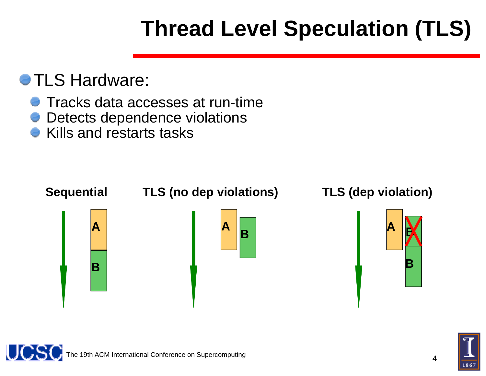## **Thread Le evel Speculation (TLS)**

#### **e TLS Hardware:**

- Tracks data accesses at run-ti me
- Detects dependence violations s
- Kills and restarts tasks



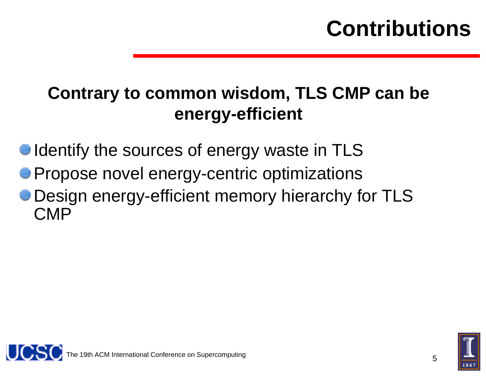### **Contributions**

### **Contrary to common wis sdom TLS CMP can be sdom,**  energy-efficient

Identify the sources of energy waste in TLS

- Propose novel energy-centric optimizations
- Design energy-efficient me m mory hierarchy for TLS CMP



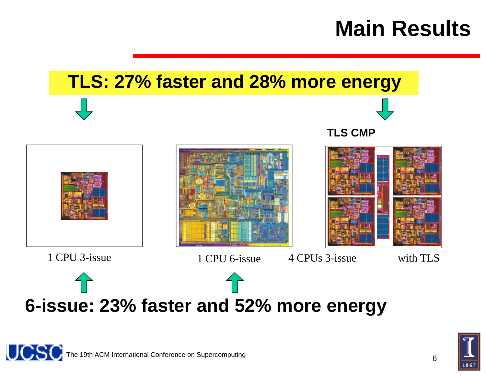### **Main Results**





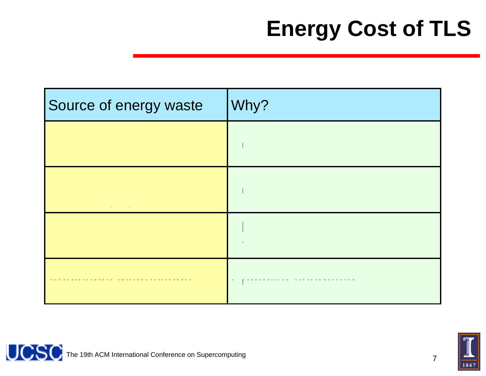| Source of energy waste | Why? |
|------------------------|------|
|                        |      |
|                        |      |
|                        |      |
|                        |      |



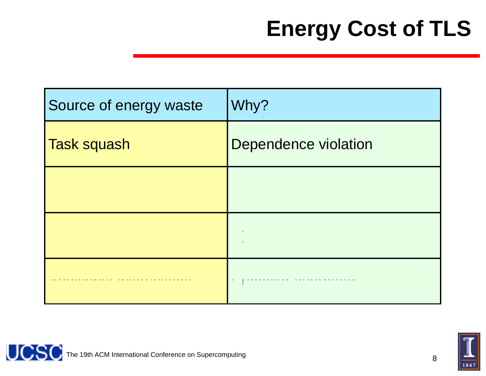| Source of energy waste | Why?                        |
|------------------------|-----------------------------|
| Task squash            | <b>Dependence violation</b> |
|                        |                             |
|                        |                             |
|                        |                             |



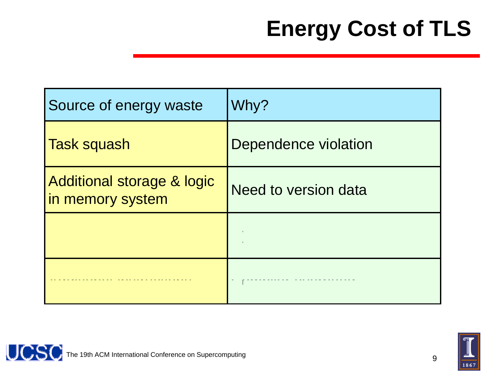| Source of energy waste                         | Why?                 |
|------------------------------------------------|----------------------|
| <b>Task squash</b>                             | Dependence violation |
| Additional storage & logic<br>in memory system | Need to version data |
|                                                |                      |
|                                                |                      |



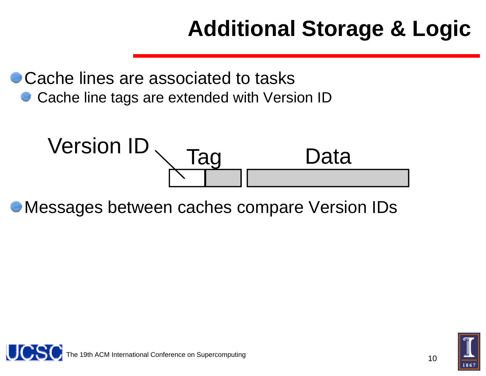### **Addit tional Storage & Logic**

Cache lines are associated to tasks Cache line tags are extended with Version ID



Messages between caches c compare Version IDs



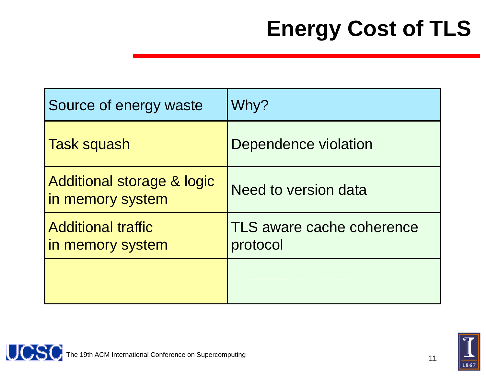| Source of energy waste                         | Why?                                  |
|------------------------------------------------|---------------------------------------|
| <b>Task squash</b>                             | Dependence violation                  |
| Additional storage & logic<br>in memory system | Need to version data                  |
| <b>Additional traffic</b><br>in memory system  | TLS aware cache coherence<br>protocol |
|                                                |                                       |



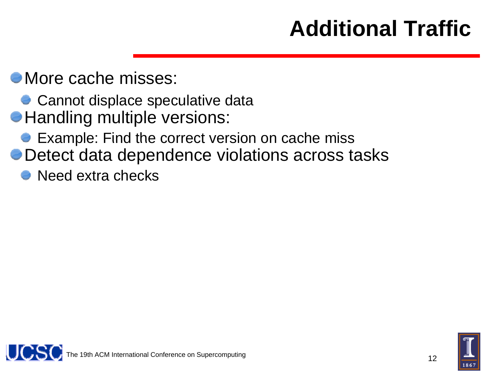### **Additional Traffic**

 $\bullet$  More cache misses:

- Cannot displace speculative data
- **Handling multiple versions:** 
	- Example: Find the correct version on cache miss
- Detect data dependence viol ations across tasks
	- Need extra checks



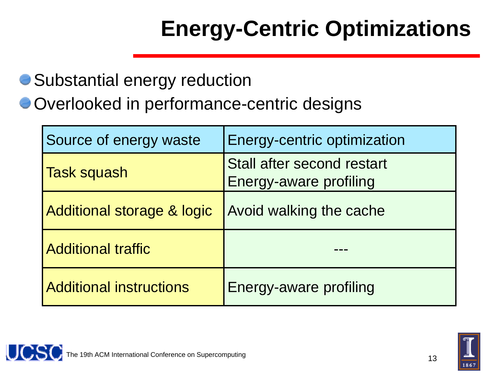# **Energy-Centric Optimizations**

#### Substantial energy reductio n

Overlooked in performance-centric designs

| Source of energy waste         | Energy-centric optimization                          |
|--------------------------------|------------------------------------------------------|
| <b>Task squash</b>             | Stall after second restart<br>Energy-aware profiling |
| Additional storage & logic     | Avoid walking the cache                              |
| <b>Additional traffic</b>      |                                                      |
| <b>Additional instructions</b> | Energy-aware profiling                               |

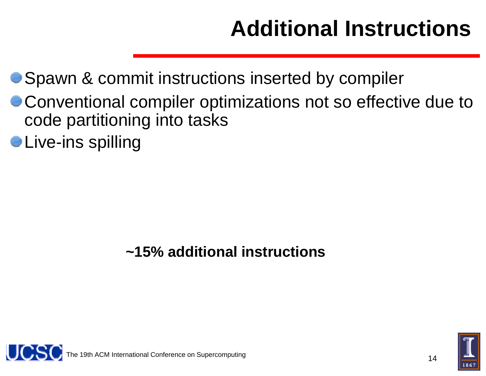### **AAdditional Instructions**

#### Spawn & commit instructions s inserted by compiler

- Conventional compiler optimizations not so effective due to code partitioning into tasks
- $\bullet$  Live-ins spilling

#### **~15% additional i instructions**



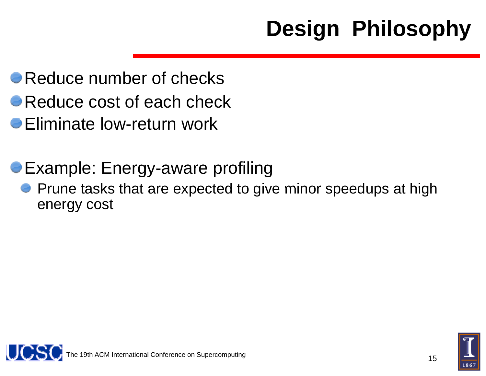## **Design Philosophy**

- Reduce number of checks
- Reduce cost of each check
- Eliminate low-return work
- Example: Energy-aware pro f filing
	- Prune tasks that are expected to give minor speedups at high energy cost



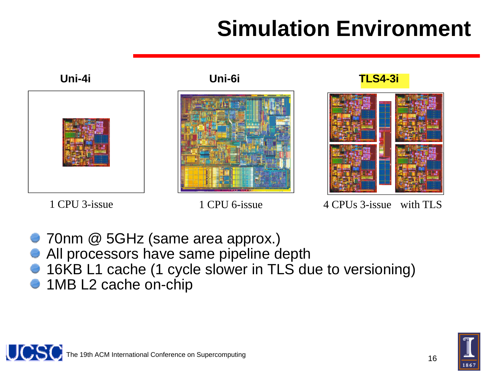### **Simmulation Environment**



1 CPU 3-issue 1 CPU 6-issue

UCS(

4 CPUs 3-issue with TLS

- 70nm @ 5GHz (same area approx.)
- All processors have same pipeline depth
- 16KB L1 cache (1 cycle slowe r in TLS due to versioning)
- 1MB L2 cache on-chip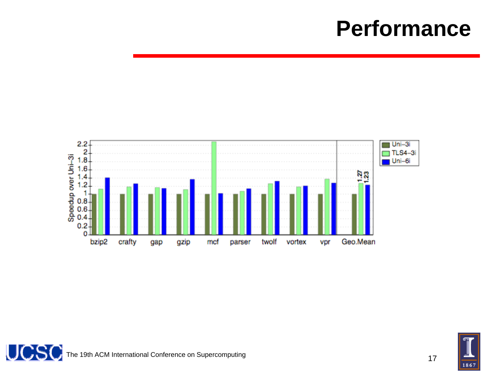### **Performance**





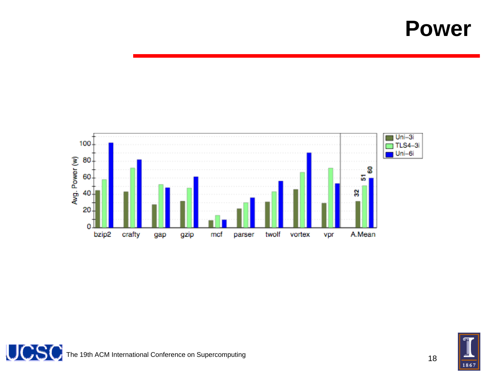### **Power**





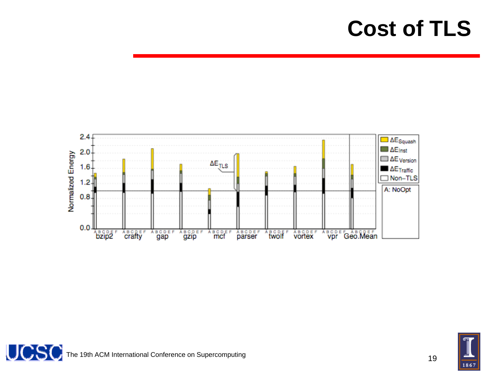

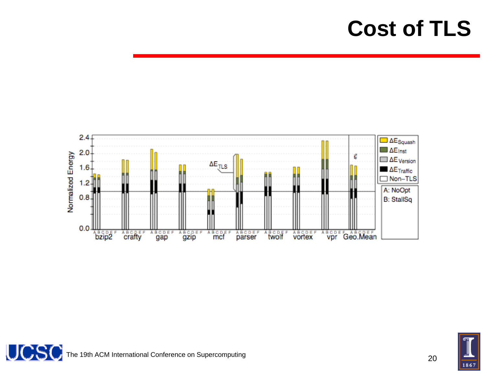

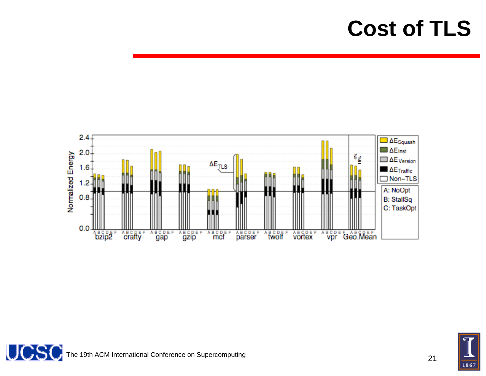

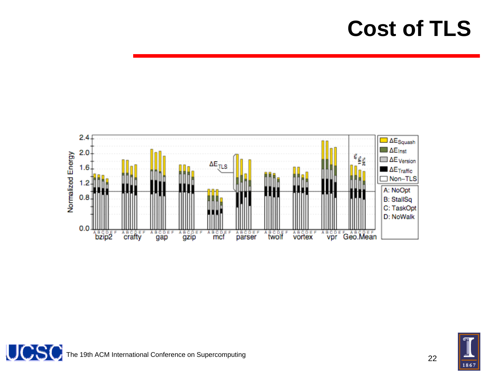



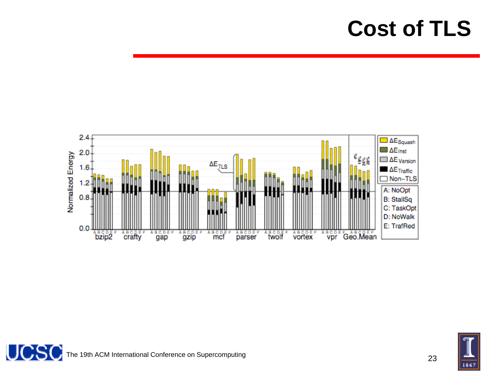



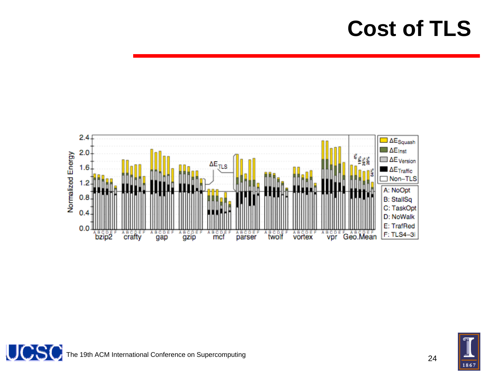



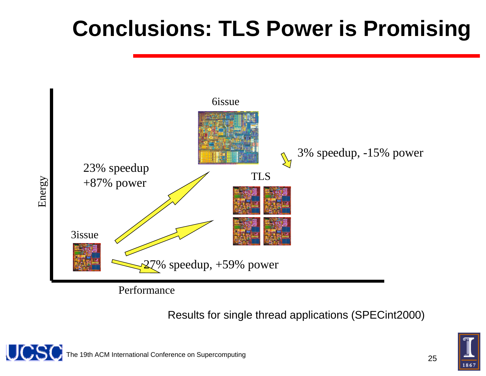### **Conclusions: TL LS Power is Promising**



Results for sing gle thread applications (SPECint2000)

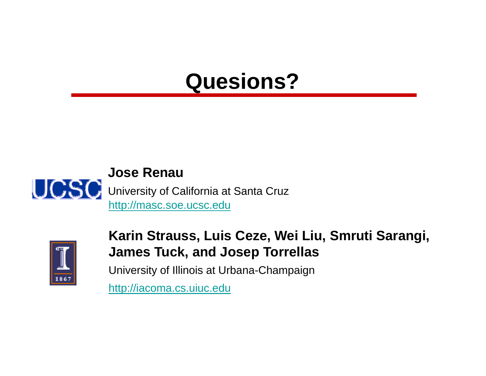### **Quesi ions?**





#### Karin Strauss, Luis Ceze, Wei Liu, Smruti Sarangi, **James Tuck, and Jos ep Torrellas**

University of Illinois at Urba na-Champaign

http://iacoma.cs.uiuc.edu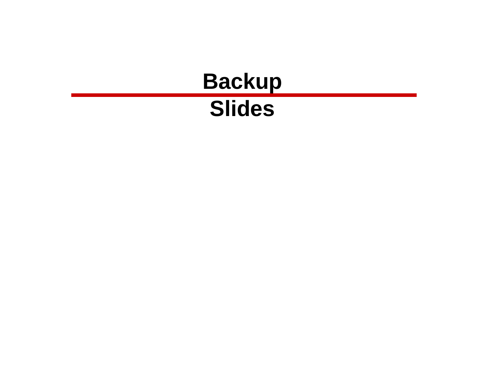#### **Bac Slid kup es**